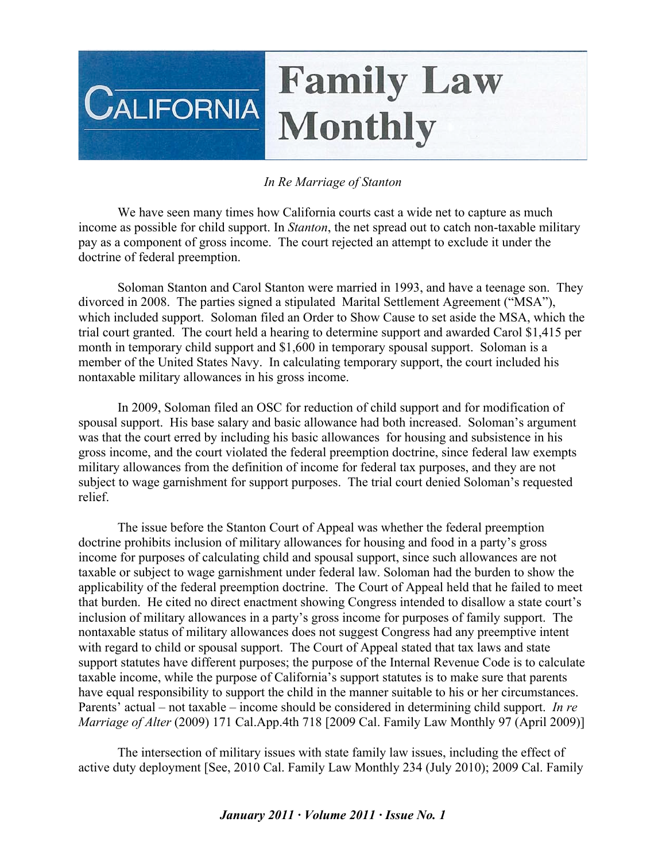## **Family Law CALIFORNIA Monthly**

## *In Re Marriage of Stanton*

We have seen many times how California courts cast a wide net to capture as much income as possible for child support. In *Stanton*, the net spread out to catch non-taxable military pay as a component of gross income. The court rejected an attempt to exclude it under the doctrine of federal preemption.

Soloman Stanton and Carol Stanton were married in 1993, and have a teenage son. They divorced in 2008. The parties signed a stipulated Marital Settlement Agreement ("MSA"), which included support. Soloman filed an Order to Show Cause to set aside the MSA, which the trial court granted. The court held a hearing to determine support and awarded Carol \$1,415 per month in temporary child support and \$1,600 in temporary spousal support. Soloman is a member of the United States Navy. In calculating temporary support, the court included his nontaxable military allowances in his gross income.

In 2009, Soloman filed an OSC for reduction of child support and for modification of spousal support. His base salary and basic allowance had both increased. Soloman's argument was that the court erred by including his basic allowances for housing and subsistence in his gross income, and the court violated the federal preemption doctrine, since federal law exempts military allowances from the definition of income for federal tax purposes, and they are not subject to wage garnishment for support purposes. The trial court denied Soloman's requested relief.

The issue before the Stanton Court of Appeal was whether the federal preemption doctrine prohibits inclusion of military allowances for housing and food in a party's gross income for purposes of calculating child and spousal support, since such allowances are not taxable or subject to wage garnishment under federal law. Soloman had the burden to show the applicability of the federal preemption doctrine. The Court of Appeal held that he failed to meet that burden. He cited no direct enactment showing Congress intended to disallow a state court's inclusion of military allowances in a party's gross income for purposes of family support. The nontaxable status of military allowances does not suggest Congress had any preemptive intent with regard to child or spousal support. The Court of Appeal stated that tax laws and state support statutes have different purposes; the purpose of the Internal Revenue Code is to calculate taxable income, while the purpose of California's support statutes is to make sure that parents have equal responsibility to support the child in the manner suitable to his or her circumstances. Parents' actual – not taxable – income should be considered in determining child support. *In re Marriage of Alter* (2009) 171 Cal.App.4th 718 [2009 Cal. Family Law Monthly 97 (April 2009)]

The intersection of military issues with state family law issues, including the effect of active duty deployment [See, 2010 Cal. Family Law Monthly 234 (July 2010); 2009 Cal. Family